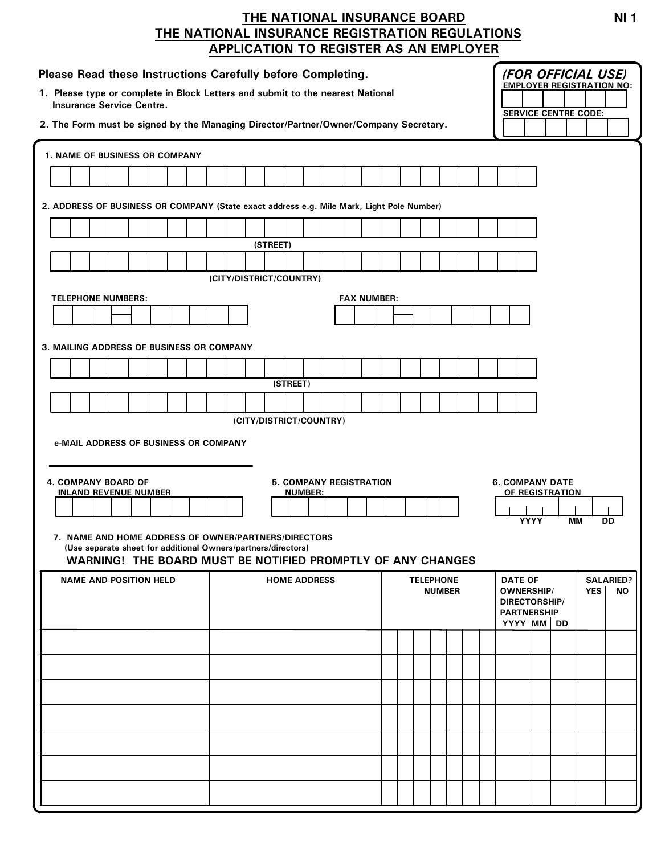## THE NATIONAL INSURANCE BOARD THE NATIONAL INSURANCE REGISTRATION REGULATIONS APPLICATION TO REGISTER AS AN EMPLOYER

| Please Read these Instructions Carefully before Completing.<br><b>Insurance Service Centre.</b>                          | 1. Please type or complete in Block Letters and submit to the nearest National<br>2. The Form must be signed by the Managing Director/Partner/Owner/Company Secretary. |                                   | (FOR OFFICIAL USE)<br><b>EMPLOYER REGISTRATION NO:</b><br><b>SERVICE CENTRE CODE:</b>                                                   |  |
|--------------------------------------------------------------------------------------------------------------------------|------------------------------------------------------------------------------------------------------------------------------------------------------------------------|-----------------------------------|-----------------------------------------------------------------------------------------------------------------------------------------|--|
|                                                                                                                          |                                                                                                                                                                        |                                   |                                                                                                                                         |  |
| <b>1. NAME OF BUSINESS OR COMPANY</b>                                                                                    |                                                                                                                                                                        |                                   |                                                                                                                                         |  |
|                                                                                                                          |                                                                                                                                                                        |                                   |                                                                                                                                         |  |
|                                                                                                                          | 2. ADDRESS OF BUSINESS OR COMPANY (State exact address e.g. Mile Mark, Light Pole Number)                                                                              |                                   |                                                                                                                                         |  |
|                                                                                                                          | (STREET)                                                                                                                                                               |                                   |                                                                                                                                         |  |
|                                                                                                                          |                                                                                                                                                                        |                                   |                                                                                                                                         |  |
|                                                                                                                          | (CITY/DISTRICT/COUNTRY)                                                                                                                                                |                                   |                                                                                                                                         |  |
| <b>TELEPHONE NUMBERS:</b>                                                                                                | <b>FAX NUMBER:</b>                                                                                                                                                     |                                   |                                                                                                                                         |  |
|                                                                                                                          |                                                                                                                                                                        |                                   |                                                                                                                                         |  |
| 3. MAILING ADDRESS OF BUSINESS OR COMPANY                                                                                |                                                                                                                                                                        |                                   |                                                                                                                                         |  |
|                                                                                                                          |                                                                                                                                                                        |                                   |                                                                                                                                         |  |
|                                                                                                                          | (STREET)                                                                                                                                                               |                                   |                                                                                                                                         |  |
|                                                                                                                          | (CITY/DISTRICT/COUNTRY)                                                                                                                                                |                                   |                                                                                                                                         |  |
| e-MAIL ADDRESS OF BUSINESS OR COMPANY<br>4. COMPANY BOARD OF<br><b>5. COMPANY REGISTRATION</b><br><b>6. COMPANY DATE</b> |                                                                                                                                                                        |                                   |                                                                                                                                         |  |
| <b>INLAND REVENUE NUMBER</b>                                                                                             | <b>NUMBER:</b>                                                                                                                                                         |                                   | OF REGISTRATION                                                                                                                         |  |
| 7. NAME AND HOME ADDRESS OF OWNER/PARTNERS/DIRECTORS<br>(Use separate sheet for additional Owners/partners/directors)    | WARNING! THE BOARD MUST BE NOTIFIED PROMPTLY OF ANY CHANGES                                                                                                            |                                   | <b>YYYY</b><br>MМ<br>DD                                                                                                                 |  |
| <b>NAME AND POSITION HELD</b>                                                                                            | <b>HOME ADDRESS</b>                                                                                                                                                    | <b>TELEPHONE</b><br><b>NUMBER</b> | <b>DATE OF</b><br><b>SALARIED?</b><br><b>OWNERSHIP/</b><br><b>YES</b><br><b>NO</b><br>DIRECTORSHIP/<br><b>PARTNERSHIP</b><br>YYYY MM DD |  |
|                                                                                                                          |                                                                                                                                                                        |                                   |                                                                                                                                         |  |
|                                                                                                                          |                                                                                                                                                                        |                                   |                                                                                                                                         |  |
|                                                                                                                          |                                                                                                                                                                        |                                   |                                                                                                                                         |  |
|                                                                                                                          |                                                                                                                                                                        |                                   |                                                                                                                                         |  |
|                                                                                                                          |                                                                                                                                                                        |                                   |                                                                                                                                         |  |
|                                                                                                                          |                                                                                                                                                                        |                                   |                                                                                                                                         |  |
|                                                                                                                          |                                                                                                                                                                        |                                   |                                                                                                                                         |  |
|                                                                                                                          |                                                                                                                                                                        |                                   |                                                                                                                                         |  |